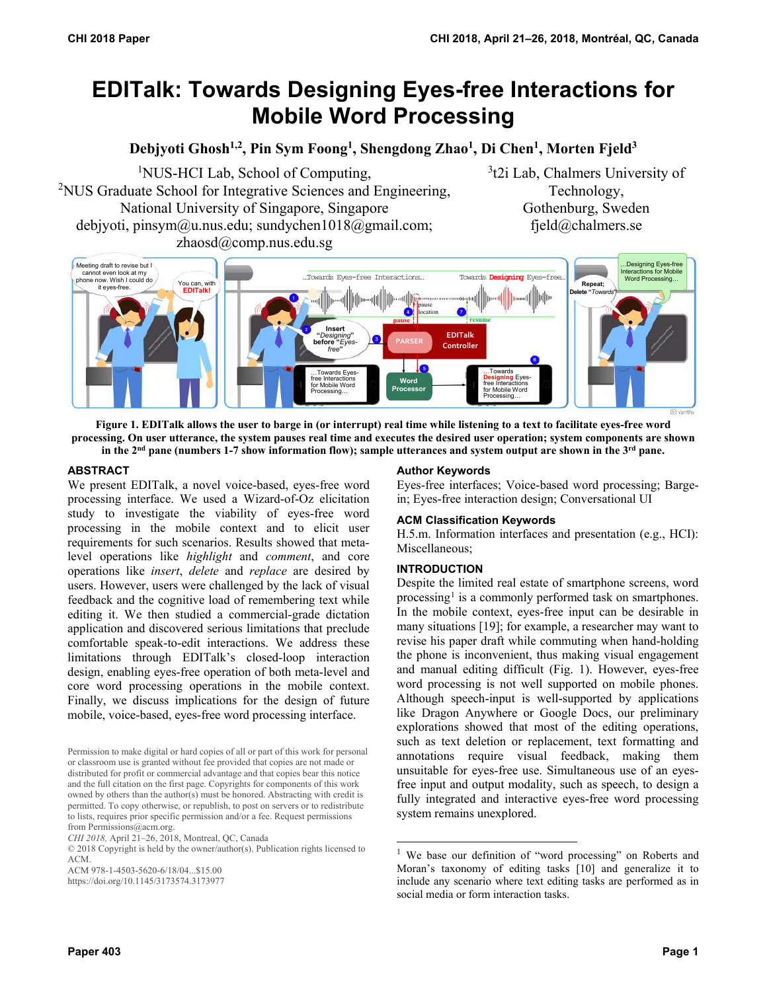# **EDITalk: Towards Designing Eyes-free Interactions for Mobile Word Processing**

**Debjyoti Ghosh1,2, Pin Sym Foong1 , Shengdong Zhao1 , Di Chen1 , Morten Fjeld3**

<sup>1</sup>NUS-HCI Lab, School of Computing, <sup>2</sup>NUS Graduate School for Integrative Sciences and Engineering, National University of Singapore, Singapore debjyoti, pinsym@u.nus.edu; sundychen1018@gmail.com; zhaosd@comp.nus.edu.sg

3 t2i Lab, Chalmers University of Technology, Gothenburg, Sweden fjeld@chalmers.se



**Figure 1. EDITalk allows the user to barge in (or interrupt) real time while listening to a text to facilitate eyes-free word processing. On user utterance, the system pauses real time and executes the desired user operation; system components are shown in the 2nd pane (numbers 1-7 show information flow); sample utterances and system output are shown in the 3rd pane.** 

# **ABSTRACT**

We present EDITalk, a novel voice-based, eyes-free word processing interface. We used a Wizard-of-Oz elicitation study to investigate the viability of eyes-free word processing in the mobile context and to elicit user requirements for such scenarios. Results showed that metalevel operations like *highlight* and *comment*, and core operations like *insert*, *delete* and *replace* are desired by users. However, users were challenged by the lack of visual feedback and the cognitive load of remembering text while editing it. We then studied a commercial-grade dictation application and discovered serious limitations that preclude comfortable speak-to-edit interactions. We address these limitations through EDITalk's closed-loop interaction design, enabling eyes-free operation of both meta-level and core word processing operations in the mobile context. Finally, we discuss implications for the design of future mobile, voice-based, eyes-free word processing interface.

Permission to make digital or hard copies of all or part of this work for personal or classroom use is granted without fee provided that copies are not made or distributed for profit or commercial advantage and that copies bear this notice and the full citation on the first page. Copyrights for components of this work owned by others than the author(s) must be honored. Abstracting with credit is permitted. To copy otherwise, or republish, to post on servers or to redistribute to lists, requires prior specific permission and/or a fee. Request permissions from Permissions@acm.org.

https://doi.org/10.1145/3173574.3173977

#### **Author Keywords**

Eyes-free interfaces; Voice-based word processing; Bargein; Eyes-free interaction design; Conversational UI

#### **ACM Classification Keywords**

H.5.m. Information interfaces and presentation (e.g., HCI): Miscellaneous;

#### **INTRODUCTION**

-

Despite the limited real estate of smartphone screens, word processing<sup>[1](#page-0-0)</sup> is a commonly performed task on smartphones. In the mobile context, eyes-free input can be desirable in many situations [19]; for example, a researcher may want to revise his paper draft while commuting when hand-holding the phone is inconvenient, thus making visual engagement and manual editing difficult (Fig. 1). However, eyes-free word processing is not well supported on mobile phones. Although speech-input is well-supported by applications like Dragon Anywhere or Google Docs, our preliminary explorations showed that most of the editing operations, such as text deletion or replacement, text formatting and annotations require visual feedback, making them unsuitable for eyes-free use. Simultaneous use of an eyesfree input and output modality, such as speech, to design a fully integrated and interactive eyes-free word processing system remains unexplored.

*CHI 2018,* April 21–26, 2018, Montreal, QC, Canada

<span id="page-0-0"></span><sup>© 2018</sup> Copyright is held by the owner/author(s). Publication rights licensed to ACM.

ACM 978-1-4503-5620-6/18/04...\$15.00

<sup>&</sup>lt;sup>1</sup> We base our definition of "word processing" on Roberts and Moran's taxonomy of editing tasks [10] and generalize it to include any scenario where text editing tasks are performed as in social media or form interaction tasks.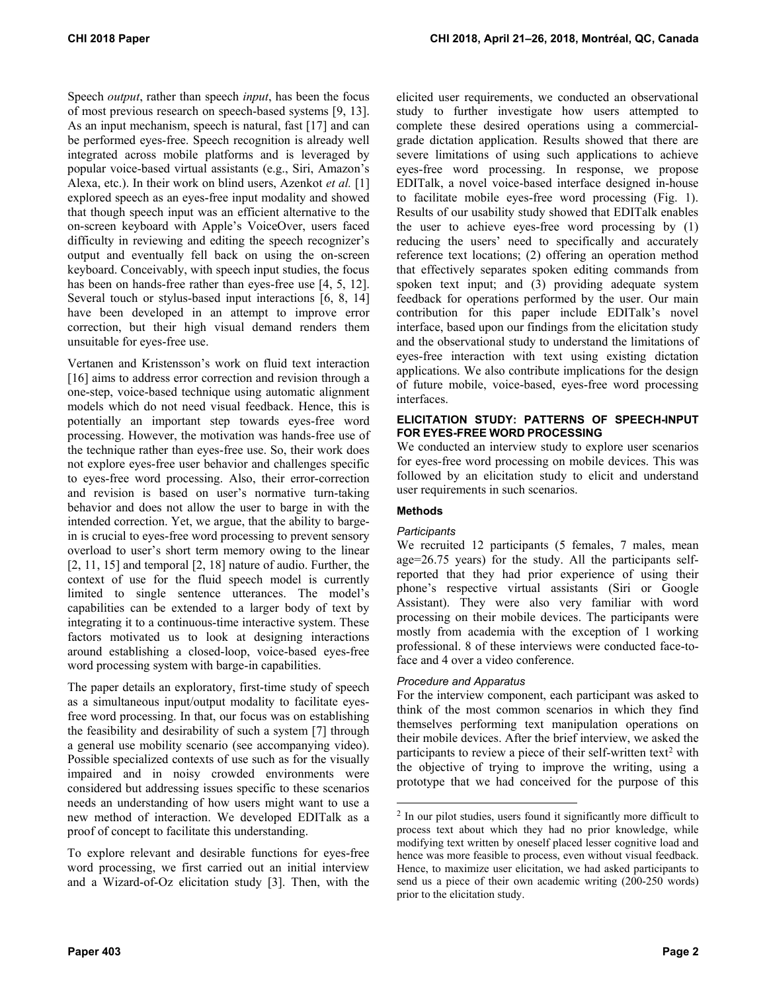Speech *output*, rather than speech *input*, has been the focus of most previous research on speech-based systems [9, 13]. As an input mechanism, speech is natural, fast [17] and can be performed eyes-free. Speech recognition is already well integrated across mobile platforms and is leveraged by popular voice-based virtual assistants (e.g., Siri, Amazon's Alexa, etc.). In their work on blind users, Azenkot *et al.* [1] explored speech as an eyes-free input modality and showed that though speech input was an efficient alternative to the on-screen keyboard with Apple's VoiceOver, users faced difficulty in reviewing and editing the speech recognizer's output and eventually fell back on using the on-screen keyboard. Conceivably, with speech input studies, the focus has been on hands-free rather than eyes-free use [4, 5, 12]. Several touch or stylus-based input interactions [6, 8, 14] have been developed in an attempt to improve error correction, but their high visual demand renders them unsuitable for eyes-free use.

Vertanen and Kristensson's work on fluid text interaction [16] aims to address error correction and revision through a one-step, voice-based technique using automatic alignment models which do not need visual feedback. Hence, this is potentially an important step towards eyes-free word processing. However, the motivation was hands-free use of the technique rather than eyes-free use. So, their work does not explore eyes-free user behavior and challenges specific to eyes-free word processing. Also, their error-correction and revision is based on user's normative turn-taking behavior and does not allow the user to barge in with the intended correction. Yet, we argue, that the ability to bargein is crucial to eyes-free word processing to prevent sensory overload to user's short term memory owing to the linear [2, 11, 15] and temporal [2, 18] nature of audio. Further, the context of use for the fluid speech model is currently limited to single sentence utterances. The model's capabilities can be extended to a larger body of text by integrating it to a continuous-time interactive system. These factors motivated us to look at designing interactions around establishing a closed-loop, voice-based eyes-free word processing system with barge-in capabilities.

The paper details an exploratory, first-time study of speech as a simultaneous input/output modality to facilitate eyesfree word processing. In that, our focus was on establishing the feasibility and desirability of such a system [7] through a general use mobility scenario (see accompanying video). Possible specialized contexts of use such as for the visually impaired and in noisy crowded environments were considered but addressing issues specific to these scenarios needs an understanding of how users might want to use a new method of interaction. We developed EDITalk as a proof of concept to facilitate this understanding.

<span id="page-1-0"></span>To explore relevant and desirable functions for eyes-free word processing, we first carried out an initial interview and a Wizard-of-Oz elicitation study [3]. Then, with the elicited user requirements, we conducted an observational study to further investigate how users attempted to complete these desired operations using a commercialgrade dictation application. Results showed that there are severe limitations of using such applications to achieve eyes-free word processing. In response, we propose EDITalk, a novel voice-based interface designed in-house to facilitate mobile eyes-free word processing (Fig. 1). Results of our usability study showed that EDITalk enables the user to achieve eyes-free word processing by (1) reducing the users' need to specifically and accurately reference text locations; (2) offering an operation method that effectively separates spoken editing commands from spoken text input; and (3) providing adequate system feedback for operations performed by the user. Our main contribution for this paper include EDITalk's novel interface, based upon our findings from the elicitation study and the observational study to understand the limitations of eyes-free interaction with text using existing dictation applications. We also contribute implications for the design of future mobile, voice-based, eyes-free word processing interfaces.

## **ELICITATION STUDY: PATTERNS OF SPEECH-INPUT FOR EYES-FREE WORD PROCESSING**

We conducted an interview study to explore user scenarios for eyes-free word processing on mobile devices. This was followed by an elicitation study to elicit and understand user requirements in such scenarios.

# **Methods**

-

# *Participants*

We recruited 12 participants (5 females, 7 males, mean age=26.75 years) for the study. All the participants selfreported that they had prior experience of using their phone's respective virtual assistants (Siri or Google Assistant). They were also very familiar with word processing on their mobile devices. The participants were mostly from academia with the exception of 1 working professional. 8 of these interviews were conducted face-toface and 4 over a video conference.

# *Procedure and Apparatus*

For the interview component, each participant was asked to think of the most common scenarios in which they find themselves performing text manipulation operations on their mobile devices. After the brief interview, we asked the participants to review a piece of their self-written text<sup>[2](#page-1-0)</sup> with the objective of trying to improve the writing, using a prototype that we had conceived for the purpose of this

 $2 \text{ In our pilot studies, users found it significantly more difficult to}$ process text about which they had no prior knowledge, while modifying text written by oneself placed lesser cognitive load and hence was more feasible to process, even without visual feedback. Hence, to maximize user elicitation, we had asked participants to send us a piece of their own academic writing (200-250 words) prior to the elicitation study.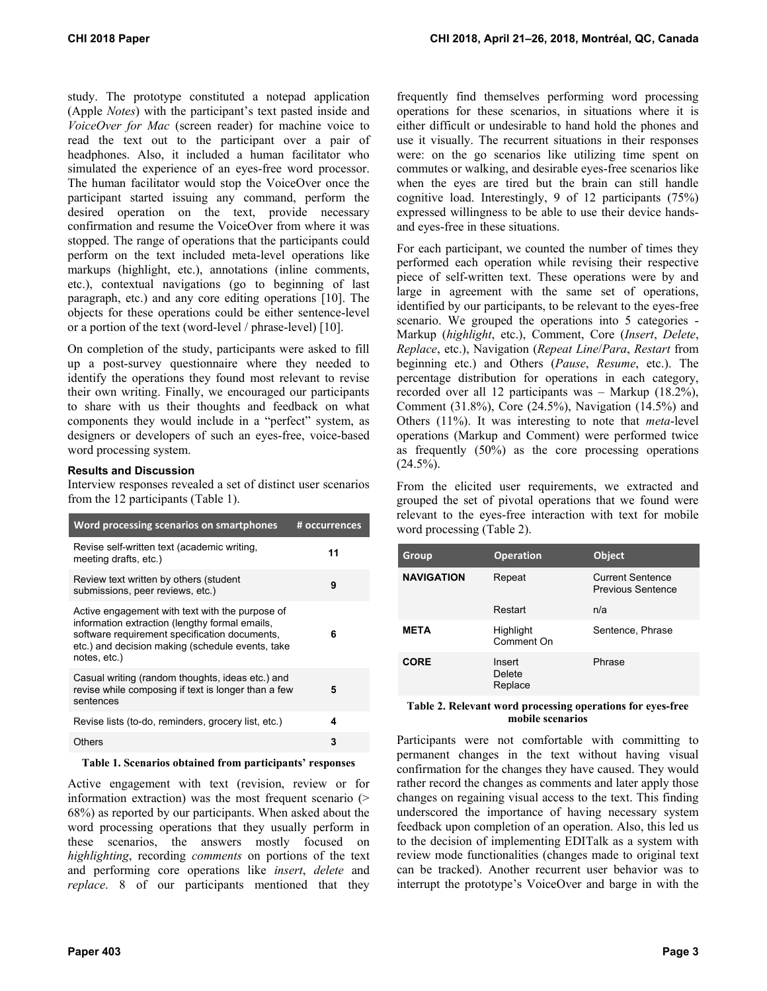study. The prototype constituted a notepad application (Apple *Notes*) with the participant's text pasted inside and *VoiceOver for Mac* (screen reader) for machine voice to read the text out to the participant over a pair of headphones. Also, it included a human facilitator who simulated the experience of an eyes-free word processor. The human facilitator would stop the VoiceOver once the participant started issuing any command, perform the desired operation on the text, provide necessary confirmation and resume the VoiceOver from where it was stopped. The range of operations that the participants could perform on the text included meta-level operations like markups (highlight, etc.), annotations (inline comments, etc.), contextual navigations (go to beginning of last paragraph, etc.) and any core editing operations [10]. The objects for these operations could be either sentence-level or a portion of the text (word-level / phrase-level) [10].

On completion of the study, participants were asked to fill up a post-survey questionnaire where they needed to identify the operations they found most relevant to revise their own writing. Finally, we encouraged our participants to share with us their thoughts and feedback on what components they would include in a "perfect" system, as designers or developers of such an eyes-free, voice-based word processing system.

## **Results and Discussion**

Interview responses revealed a set of distinct user scenarios from the 12 participants (Table 1).

| Word processing scenarios on smartphones                                                                                                                                                                               | # occurrences |
|------------------------------------------------------------------------------------------------------------------------------------------------------------------------------------------------------------------------|---------------|
| Revise self-written text (academic writing,<br>meeting drafts, etc.)                                                                                                                                                   | 11            |
| Review text written by others (student<br>submissions, peer reviews, etc.)                                                                                                                                             | 9             |
| Active engagement with text with the purpose of<br>information extraction (lengthy formal emails,<br>software requirement specification documents,<br>etc.) and decision making (schedule events, take<br>notes, etc.) | 6             |
| Casual writing (random thoughts, ideas etc.) and<br>revise while composing if text is longer than a few<br>sentences                                                                                                   | 5             |
| Revise lists (to-do, reminders, grocery list, etc.)                                                                                                                                                                    | 4             |
| Others                                                                                                                                                                                                                 | 3             |

#### **Table 1. Scenarios obtained from participants' responses**

Active engagement with text (revision, review or for information extraction) was the most frequent scenario (> 68%) as reported by our participants. When asked about the word processing operations that they usually perform in these scenarios, the answers mostly focused on *highlighting*, recording *comments* on portions of the text and performing core operations like *insert*, *delete* and *replace*. 8 of our participants mentioned that they

frequently find themselves performing word processing operations for these scenarios, in situations where it is either difficult or undesirable to hand hold the phones and use it visually. The recurrent situations in their responses were: on the go scenarios like utilizing time spent on commutes or walking, and desirable eyes-free scenarios like when the eyes are tired but the brain can still handle cognitive load. Interestingly, 9 of 12 participants (75%) expressed willingness to be able to use their device handsand eyes-free in these situations.

For each participant, we counted the number of times they performed each operation while revising their respective piece of self-written text. These operations were by and large in agreement with the same set of operations, identified by our participants, to be relevant to the eyes-free scenario. We grouped the operations into 5 categories - Markup (*highlight*, etc.), Comment, Core (*Insert*, *Delete*, *Replace*, etc.), Navigation (*Repeat Line*/*Para*, *Restart* from beginning etc.) and Others (*Pause*, *Resume*, etc.). The percentage distribution for operations in each category, recorded over all 12 participants was – Markup (18.2%), Comment (31.8%), Core (24.5%), Navigation (14.5%) and Others (11%). It was interesting to note that *meta*-level operations (Markup and Comment) were performed twice as frequently (50%) as the core processing operations  $(24.5\%)$ .

From the elicited user requirements, we extracted and grouped the set of pivotal operations that we found were relevant to the eyes-free interaction with text for mobile word processing (Table 2).

| Group             | <b>Operation</b>            | <b>Object</b>                                |
|-------------------|-----------------------------|----------------------------------------------|
| <b>NAVIGATION</b> | Repeat                      | <b>Current Sentence</b><br>Previous Sentence |
|                   | Restart                     | n/a                                          |
| <b>META</b>       | Highlight<br>Comment On     | Sentence, Phrase                             |
| <b>CORE</b>       | Insert<br>Delete<br>Replace | Phrase                                       |

#### **Table 2. Relevant word processing operations for eyes-free mobile scenarios**

Participants were not comfortable with committing to permanent changes in the text without having visual confirmation for the changes they have caused. They would rather record the changes as comments and later apply those changes on regaining visual access to the text. This finding underscored the importance of having necessary system feedback upon completion of an operation. Also, this led us to the decision of implementing EDITalk as a system with review mode functionalities (changes made to original text can be tracked). Another recurrent user behavior was to interrupt the prototype's VoiceOver and barge in with the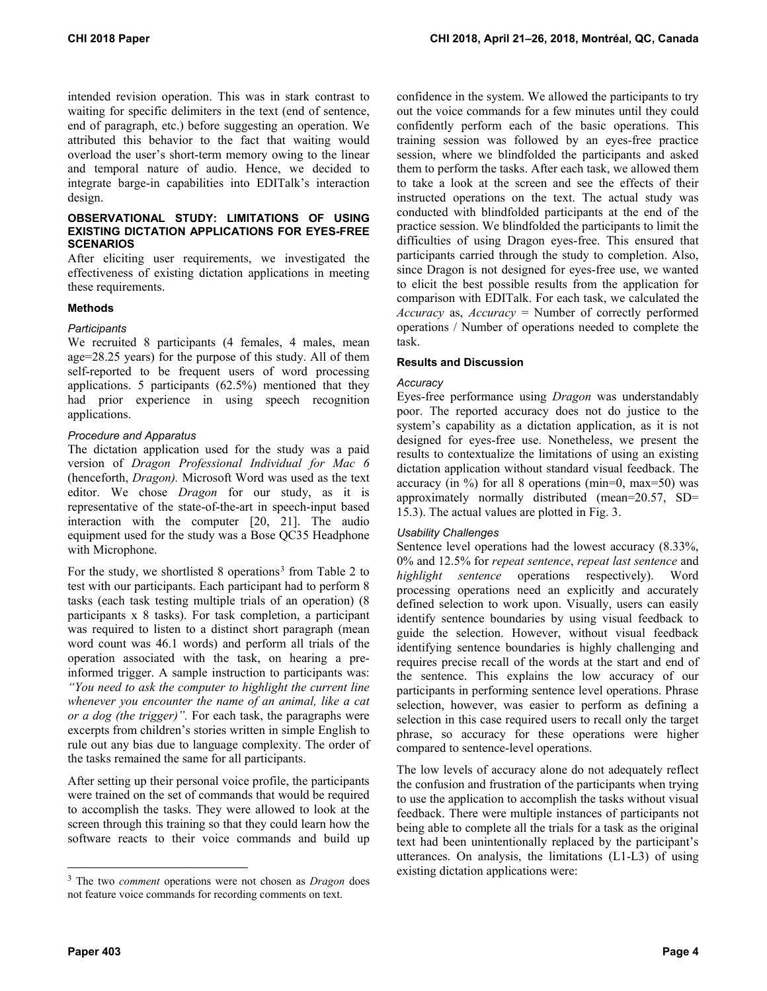intended revision operation. This was in stark contrast to waiting for specific delimiters in the text (end of sentence, end of paragraph, etc.) before suggesting an operation. We attributed this behavior to the fact that waiting would overload the user's short-term memory owing to the linear and temporal nature of audio. Hence, we decided to integrate barge-in capabilities into EDITalk's interaction design.

#### **OBSERVATIONAL STUDY: LIMITATIONS OF USING EXISTING DICTATION APPLICATIONS FOR EYES-FREE SCENARIOS**

After eliciting user requirements, we investigated the effectiveness of existing dictation applications in meeting these requirements.

## **Methods**

## *Participants*

We recruited 8 participants (4 females, 4 males, mean age=28.25 years) for the purpose of this study. All of them self-reported to be frequent users of word processing applications. 5 participants (62.5%) mentioned that they had prior experience in using speech recognition applications.

## *Procedure and Apparatus*

The dictation application used for the study was a paid version of *Dragon Professional Individual for Mac 6*  (henceforth, *Dragon).* Microsoft Word was used as the text editor. We chose *Dragon* for our study, as it is representative of the state-of-the-art in speech-input based interaction with the computer [20, 21]. The audio equipment used for the study was a Bose QC35 Headphone with Microphone.

For the study, we shortlisted 8 operations<sup>[3](#page-3-0)</sup> from Table 2 to test with our participants. Each participant had to perform 8 tasks (each task testing multiple trials of an operation) (8 participants x 8 tasks). For task completion, a participant was required to listen to a distinct short paragraph (mean word count was 46.1 words) and perform all trials of the operation associated with the task, on hearing a preinformed trigger. A sample instruction to participants was: *"You need to ask the computer to highlight the current line whenever you encounter the name of an animal, like a cat or a dog (the trigger)".* For each task, the paragraphs were excerpts from children's stories written in simple English to rule out any bias due to language complexity. The order of the tasks remained the same for all participants.

After setting up their personal voice profile, the participants were trained on the set of commands that would be required to accomplish the tasks. They were allowed to look at the screen through this training so that they could learn how the software reacts to their voice commands and build up

confidence in the system. We allowed the participants to try out the voice commands for a few minutes until they could confidently perform each of the basic operations. This training session was followed by an eyes-free practice session, where we blindfolded the participants and asked them to perform the tasks. After each task, we allowed them to take a look at the screen and see the effects of their instructed operations on the text. The actual study was conducted with blindfolded participants at the end of the practice session. We blindfolded the participants to limit the difficulties of using Dragon eyes-free. This ensured that participants carried through the study to completion. Also, since Dragon is not designed for eyes-free use, we wanted to elicit the best possible results from the application for comparison with EDITalk. For each task, we calculated the *Accuracy* as, *Accuracy* = Number of correctly performed operations / Number of operations needed to complete the task.

## **Results and Discussion**

## *Accuracy*

Eyes-free performance using *Dragon* was understandably poor. The reported accuracy does not do justice to the system's capability as a dictation application, as it is not designed for eyes-free use. Nonetheless, we present the results to contextualize the limitations of using an existing dictation application without standard visual feedback. The accuracy (in %) for all 8 operations (min=0, max=50) was approximately normally distributed (mean=20.57, SD= 15.3). The actual values are plotted in Fig. 3.

# *Usability Challenges*

Sentence level operations had the lowest accuracy (8.33%, 0% and 12.5% for *repeat sentence*, *repeat last sentence* and *highlight sentence* operations respectively). Word processing operations need an explicitly and accurately defined selection to work upon. Visually, users can easily identify sentence boundaries by using visual feedback to guide the selection. However, without visual feedback identifying sentence boundaries is highly challenging and requires precise recall of the words at the start and end of the sentence. This explains the low accuracy of our participants in performing sentence level operations. Phrase selection, however, was easier to perform as defining a selection in this case required users to recall only the target phrase, so accuracy for these operations were higher compared to sentence-level operations.

The low levels of accuracy alone do not adequately reflect the confusion and frustration of the participants when trying to use the application to accomplish the tasks without visual feedback. There were multiple instances of participants not being able to complete all the trials for a task as the original text had been unintentionally replaced by the participant's utterances. On analysis, the limitations (L1-L3) of using existing dictation applications were:

 $\overline{a}$ 

<span id="page-3-0"></span><sup>3</sup> The two *comment* operations were not chosen as *Dragon* does not feature voice commands for recording comments on text.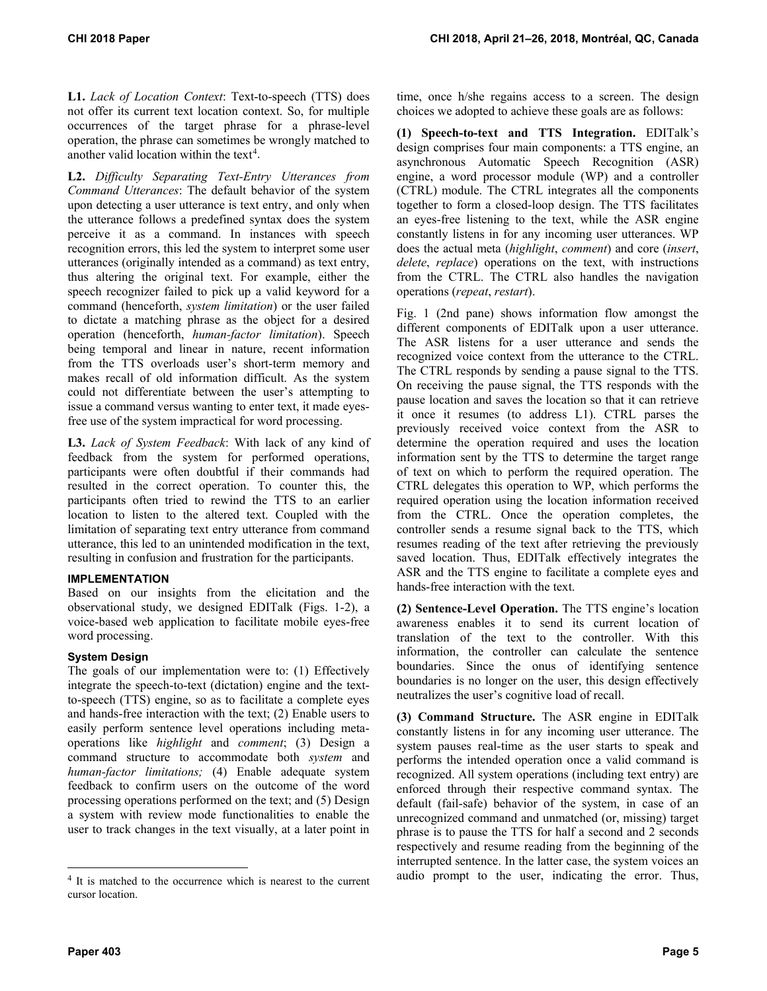**L1.** *Lack of Location Context*: Text-to-speech (TTS) does not offer its current text location context. So, for multiple occurrences of the target phrase for a phrase-level operation, the phrase can sometimes be wrongly matched to another valid location within the text<sup>[4](#page-4-0)</sup>.

**L2.** *Difficulty Separating Text-Entry Utterances from Command Utterances*: The default behavior of the system upon detecting a user utterance is text entry, and only when the utterance follows a predefined syntax does the system perceive it as a command. In instances with speech recognition errors, this led the system to interpret some user utterances (originally intended as a command) as text entry, thus altering the original text. For example, either the speech recognizer failed to pick up a valid keyword for a command (henceforth, *system limitation*) or the user failed to dictate a matching phrase as the object for a desired operation (henceforth, *human-factor limitation*). Speech being temporal and linear in nature, recent information from the TTS overloads user's short-term memory and makes recall of old information difficult. As the system could not differentiate between the user's attempting to issue a command versus wanting to enter text, it made eyesfree use of the system impractical for word processing.

**L3.** *Lack of System Feedback*: With lack of any kind of feedback from the system for performed operations, participants were often doubtful if their commands had resulted in the correct operation. To counter this, the participants often tried to rewind the TTS to an earlier location to listen to the altered text. Coupled with the limitation of separating text entry utterance from command utterance, this led to an unintended modification in the text, resulting in confusion and frustration for the participants.

# **IMPLEMENTATION**

Based on our insights from the elicitation and the observational study, we designed EDITalk (Figs. 1-2), a voice-based web application to facilitate mobile eyes-free word processing.

# **System Design**

The goals of our implementation were to: (1) Effectively integrate the speech-to-text (dictation) engine and the textto-speech (TTS) engine, so as to facilitate a complete eyes and hands-free interaction with the text; (2) Enable users to easily perform sentence level operations including metaoperations like *highlight* and *comment*; (3) Design a command structure to accommodate both *system* and *human-factor limitations;* (4) Enable adequate system feedback to confirm users on the outcome of the word processing operations performed on the text; and (5) Design a system with review mode functionalities to enable the user to track changes in the text visually, at a later point in

time, once h/she regains access to a screen. The design choices we adopted to achieve these goals are as follows:

**(1) Speech-to-text and TTS Integration.** EDITalk's design comprises four main components: a TTS engine, an asynchronous Automatic Speech Recognition (ASR) engine, a word processor module (WP) and a controller (CTRL) module. The CTRL integrates all the components together to form a closed-loop design. The TTS facilitates an eyes-free listening to the text, while the ASR engine constantly listens in for any incoming user utterances. WP does the actual meta (*highlight*, *comment*) and core (*insert*, *delete*, *replace*) operations on the text, with instructions from the CTRL. The CTRL also handles the navigation operations (*repeat*, *restart*).

Fig. 1 (2nd pane) shows information flow amongst the different components of EDITalk upon a user utterance. The ASR listens for a user utterance and sends the recognized voice context from the utterance to the CTRL. The CTRL responds by sending a pause signal to the TTS. On receiving the pause signal, the TTS responds with the pause location and saves the location so that it can retrieve it once it resumes (to address L1). CTRL parses the previously received voice context from the ASR to determine the operation required and uses the location information sent by the TTS to determine the target range of text on which to perform the required operation. The CTRL delegates this operation to WP, which performs the required operation using the location information received from the CTRL. Once the operation completes, the controller sends a resume signal back to the TTS, which resumes reading of the text after retrieving the previously saved location. Thus, EDITalk effectively integrates the ASR and the TTS engine to facilitate a complete eyes and hands-free interaction with the text.

**(2) Sentence-Level Operation.** The TTS engine's location awareness enables it to send its current location of translation of the text to the controller. With this information, the controller can calculate the sentence boundaries. Since the onus of identifying sentence boundaries is no longer on the user, this design effectively neutralizes the user's cognitive load of recall.

**(3) Command Structure.** The ASR engine in EDITalk constantly listens in for any incoming user utterance. The system pauses real-time as the user starts to speak and performs the intended operation once a valid command is recognized. All system operations (including text entry) are enforced through their respective command syntax. The default (fail-safe) behavior of the system, in case of an unrecognized command and unmatched (or, missing) target phrase is to pause the TTS for half a second and 2 seconds respectively and resume reading from the beginning of the interrupted sentence. In the latter case, the system voices an audio prompt to the user, indicating the error. Thus,

 $\overline{a}$ 

<span id="page-4-0"></span><sup>&</sup>lt;sup>4</sup> It is matched to the occurrence which is nearest to the current cursor location.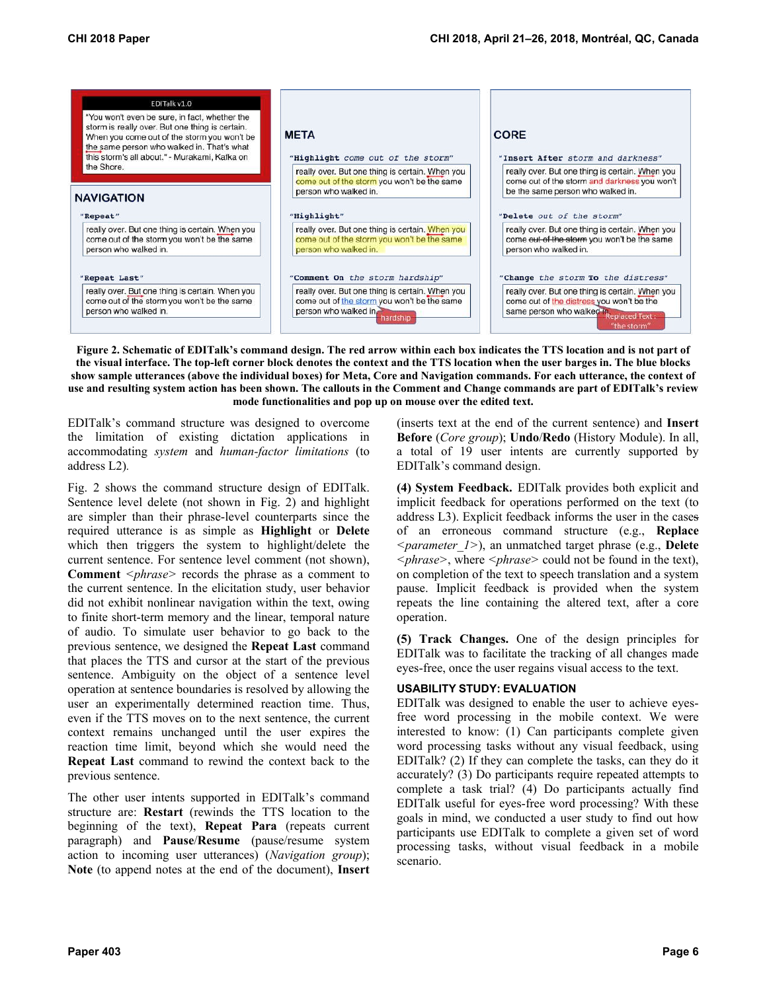

**Figure 2. Schematic of EDITalk's command design. The red arrow within each box indicates the TTS location and is not part of the visual interface. The top-left corner block denotes the context and the TTS location when the user barges in. The blue blocks show sample utterances (above the individual boxes) for Meta, Core and Navigation commands. For each utterance, the context of use and resulting system action has been shown. The callouts in the Comment and Change commands are part of EDITalk's review mode functionalities and pop up on mouse over the edited text.**

EDITalk's command structure was designed to overcome the limitation of existing dictation applications in accommodating *system* and *human-factor limitations* (to address L2)*.*

Fig. 2 shows the command structure design of EDITalk. Sentence level delete (not shown in Fig. 2) and highlight are simpler than their phrase-level counterparts since the required utterance is as simple as **Highlight** or **Delete**  which then triggers the system to highlight/delete the current sentence. For sentence level comment (not shown), **Comment** *<phrase>* records the phrase as a comment to the current sentence. In the elicitation study, user behavior did not exhibit nonlinear navigation within the text, owing to finite short-term memory and the linear, temporal nature of audio. To simulate user behavior to go back to the previous sentence, we designed the **Repeat Last** command that places the TTS and cursor at the start of the previous sentence. Ambiguity on the object of a sentence level operation at sentence boundaries is resolved by allowing the user an experimentally determined reaction time. Thus, even if the TTS moves on to the next sentence, the current context remains unchanged until the user expires the reaction time limit, beyond which she would need the **Repeat Last** command to rewind the context back to the previous sentence.

The other user intents supported in EDITalk's command structure are: **Restart** (rewinds the TTS location to the beginning of the text), **Repeat Para** (repeats current paragraph) and **Pause**/**Resume** (pause/resume system action to incoming user utterances) (*Navigation group*); **Note** (to append notes at the end of the document), **Insert** 

(inserts text at the end of the current sentence) and **Insert Before** (*Core group*); **Undo**/**Redo** (History Module). In all, a total of 19 user intents are currently supported by EDITalk's command design.

**(4) System Feedback.** EDITalk provides both explicit and implicit feedback for operations performed on the text (to address L3). Explicit feedback informs the user in the cases of an erroneous command structure (e.g., **Replace** *<parameter\_1>*), an unmatched target phrase (e.g., **Delete** *<phrase>*, where *<phrase>* could not be found in the text), on completion of the text to speech translation and a system pause. Implicit feedback is provided when the system repeats the line containing the altered text, after a core operation.

**(5) Track Changes.** One of the design principles for EDITalk was to facilitate the tracking of all changes made eyes-free, once the user regains visual access to the text.

# **USABILITY STUDY: EVALUATION**

EDITalk was designed to enable the user to achieve eyesfree word processing in the mobile context. We were interested to know: (1) Can participants complete given word processing tasks without any visual feedback, using EDITalk? (2) If they can complete the tasks, can they do it accurately? (3) Do participants require repeated attempts to complete a task trial? (4) Do participants actually find EDITalk useful for eyes-free word processing? With these goals in mind, we conducted a user study to find out how participants use EDITalk to complete a given set of word processing tasks, without visual feedback in a mobile scenario.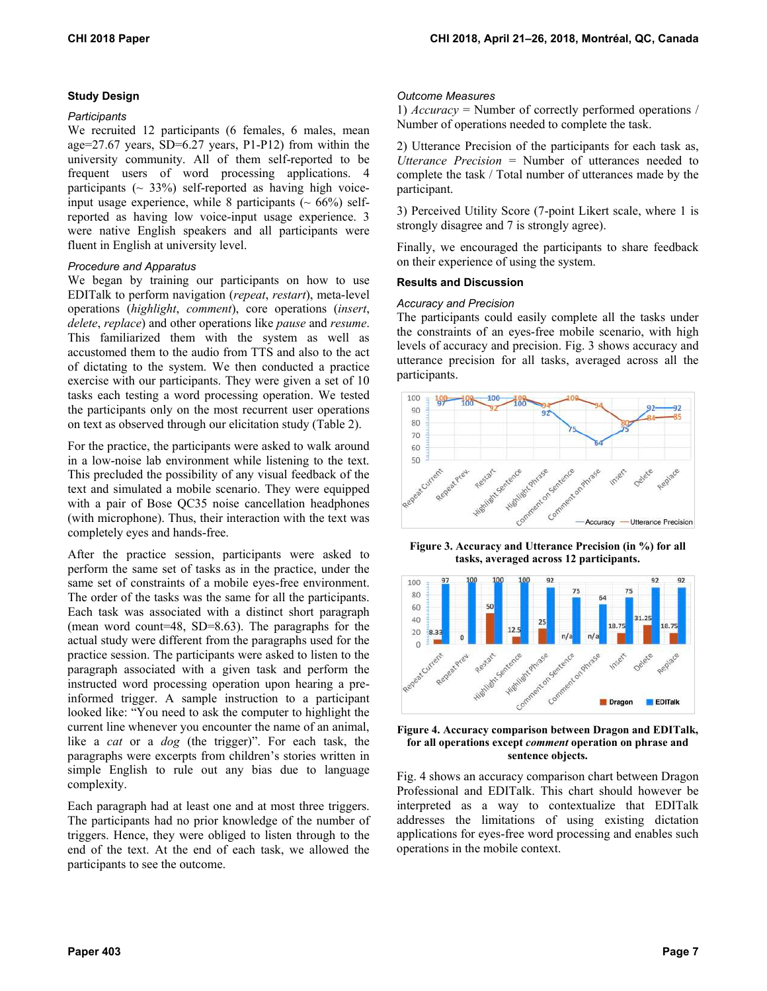# **Study Design**

## *Participants*

We recruited 12 participants (6 females, 6 males, mean age=27.67 years, SD=6.27 years, P1-P12) from within the university community. All of them self-reported to be frequent users of word processing applications. 4 participants  $({\sim} 33%)$  self-reported as having high voiceinput usage experience, while 8 participants  $(~66\%)$  selfreported as having low voice-input usage experience. 3 were native English speakers and all participants were fluent in English at university level.

## *Procedure and Apparatus*

We began by training our participants on how to use EDITalk to perform navigation (*repeat*, *restart*), meta-level operations (*highlight*, *comment*), core operations (*insert*, *delete*, *replace*) and other operations like *pause* and *resume*. This familiarized them with the system as well as accustomed them to the audio from TTS and also to the act of dictating to the system. We then conducted a practice exercise with our participants. They were given a set of 10 tasks each testing a word processing operation. We tested the participants only on the most recurrent user operations on text as observed through our elicitation study (Table 2).

For the practice, the participants were asked to walk around in a low-noise lab environment while listening to the text. This precluded the possibility of any visual feedback of the text and simulated a mobile scenario. They were equipped with a pair of Bose QC35 noise cancellation headphones (with microphone). Thus, their interaction with the text was completely eyes and hands-free.

After the practice session, participants were asked to perform the same set of tasks as in the practice, under the same set of constraints of a mobile eyes-free environment. The order of the tasks was the same for all the participants. Each task was associated with a distinct short paragraph (mean word count=48, SD=8.63). The paragraphs for the actual study were different from the paragraphs used for the practice session. The participants were asked to listen to the paragraph associated with a given task and perform the instructed word processing operation upon hearing a preinformed trigger. A sample instruction to a participant looked like: "You need to ask the computer to highlight the current line whenever you encounter the name of an animal, like a *cat* or a *dog* (the trigger)". For each task, the paragraphs were excerpts from children's stories written in simple English to rule out any bias due to language complexity.

Each paragraph had at least one and at most three triggers. The participants had no prior knowledge of the number of triggers. Hence, they were obliged to listen through to the end of the text. At the end of each task, we allowed the participants to see the outcome.

## *Outcome Measures*

1) *Accuracy* = Number of correctly performed operations / Number of operations needed to complete the task.

2) Utterance Precision of the participants for each task as, *Utterance Precision* = Number of utterances needed to complete the task / Total number of utterances made by the participant.

3) Perceived Utility Score (7-point Likert scale, where 1 is strongly disagree and 7 is strongly agree).

Finally, we encouraged the participants to share feedback on their experience of using the system.

#### **Results and Discussion**

#### *Accuracy and Precision*

The participants could easily complete all the tasks under the constraints of an eyes-free mobile scenario, with high levels of accuracy and precision. Fig. 3 shows accuracy and utterance precision for all tasks, averaged across all the participants.



**Figure 3. Accuracy and Utterance Precision (in %) for all tasks, averaged across 12 participants.** 





Fig. 4 shows an accuracy comparison chart between Dragon Professional and EDITalk. This chart should however be interpreted as a way to contextualize that EDITalk addresses the limitations of using existing dictation applications for eyes-free word processing and enables such operations in the mobile context.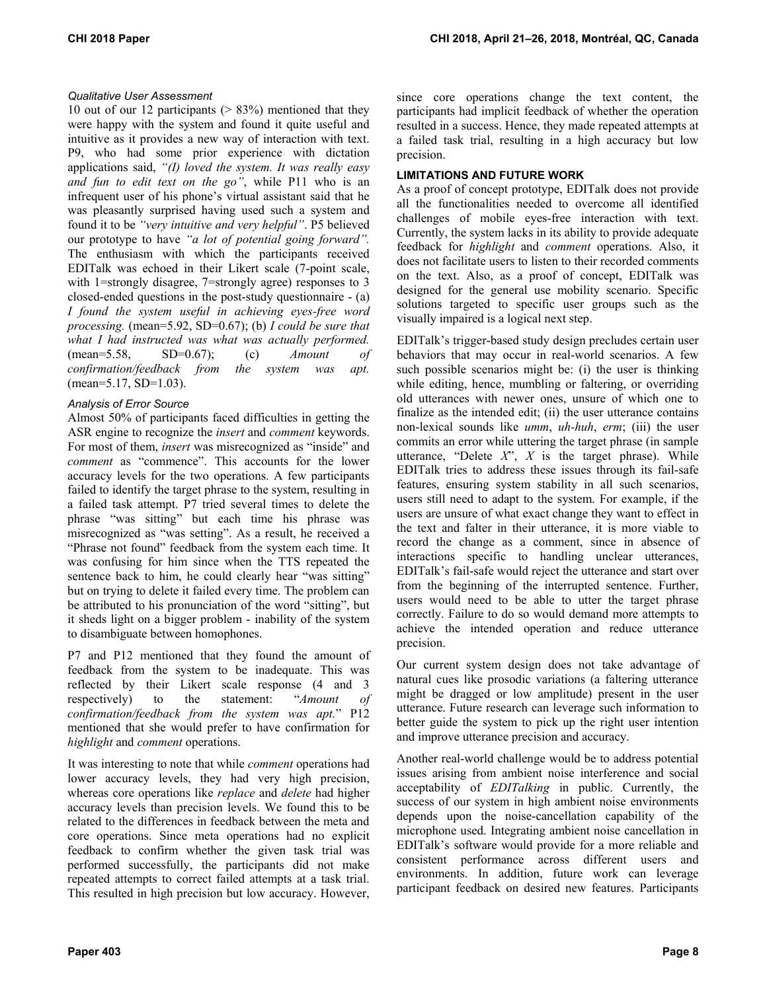# *Qualitative User Assessment*

10 out of our 12 participants ( $> 83\%$ ) mentioned that they were happy with the system and found it quite useful and intuitive as it provides a new way of interaction with text. P9, who had some prior experience with dictation applications said, *"(I) loved the system. It was really easy and fun to edit text on the go"*, while P11 who is an infrequent user of his phone's virtual assistant said that he was pleasantly surprised having used such a system and found it to be *"very intuitive and very helpful"*. P5 believed our prototype to have *"a lot of potential going forward".* The enthusiasm with which the participants received EDITalk was echoed in their Likert scale (7-point scale, with 1=strongly disagree, 7=strongly agree) responses to 3 closed-ended questions in the post-study questionnaire - (a) *I found the system useful in achieving eyes-free word processing.* (mean=5.92, SD=0.67); (b) *I could be sure that what I had instructed was what was actually performed.*  (mean=5.58, SD=0.67); (c) *Amount of confirmation/feedback from the system was apt.* (mean=5.17, SD=1.03).

# *Analysis of Error Source*

Almost 50% of participants faced difficulties in getting the ASR engine to recognize the *insert* and *comment* keywords. For most of them, *insert* was misrecognized as "inside" and *comment* as "commence". This accounts for the lower accuracy levels for the two operations. A few participants failed to identify the target phrase to the system, resulting in a failed task attempt. P7 tried several times to delete the phrase "was sitting" but each time his phrase was misrecognized as "was setting". As a result, he received a "Phrase not found" feedback from the system each time. It was confusing for him since when the TTS repeated the sentence back to him, he could clearly hear "was sitting" but on trying to delete it failed every time. The problem can be attributed to his pronunciation of the word "sitting", but it sheds light on a bigger problem - inability of the system to disambiguate between homophones.

P7 and P12 mentioned that they found the amount of feedback from the system to be inadequate. This was reflected by their Likert scale response (4 and 3 respectively) to the statement: "*Amount of confirmation/feedback from the system was apt.*" P12 mentioned that she would prefer to have confirmation for *highlight* and *comment* operations.

It was interesting to note that while *comment* operations had lower accuracy levels, they had very high precision, whereas core operations like *replace* and *delete* had higher accuracy levels than precision levels. We found this to be related to the differences in feedback between the meta and core operations. Since meta operations had no explicit feedback to confirm whether the given task trial was performed successfully, the participants did not make repeated attempts to correct failed attempts at a task trial. This resulted in high precision but low accuracy. However,

since core operations change the text content, the participants had implicit feedback of whether the operation resulted in a success. Hence, they made repeated attempts at a failed task trial, resulting in a high accuracy but low precision.

# **LIMITATIONS AND FUTURE WORK**

As a proof of concept prototype, EDITalk does not provide all the functionalities needed to overcome all identified challenges of mobile eyes-free interaction with text. Currently, the system lacks in its ability to provide adequate feedback for *highlight* and *comment* operations. Also, it does not facilitate users to listen to their recorded comments on the text. Also, as a proof of concept, EDITalk was designed for the general use mobility scenario. Specific solutions targeted to specific user groups such as the visually impaired is a logical next step.

EDITalk's trigger-based study design precludes certain user behaviors that may occur in real-world scenarios. A few such possible scenarios might be: (i) the user is thinking while editing, hence, mumbling or faltering, or overriding old utterances with newer ones, unsure of which one to finalize as the intended edit; (ii) the user utterance contains non-lexical sounds like *umm*, *uh-huh*, *erm*; (iii) the user commits an error while uttering the target phrase (in sample utterance, "Delete *X*", *X* is the target phrase). While EDITalk tries to address these issues through its fail-safe features, ensuring system stability in all such scenarios, users still need to adapt to the system. For example, if the users are unsure of what exact change they want to effect in the text and falter in their utterance, it is more viable to record the change as a comment, since in absence of interactions specific to handling unclear utterances, EDITalk's fail-safe would reject the utterance and start over from the beginning of the interrupted sentence. Further, users would need to be able to utter the target phrase correctly. Failure to do so would demand more attempts to achieve the intended operation and reduce utterance precision.

Our current system design does not take advantage of natural cues like prosodic variations (a faltering utterance might be dragged or low amplitude) present in the user utterance. Future research can leverage such information to better guide the system to pick up the right user intention and improve utterance precision and accuracy.

Another real-world challenge would be to address potential issues arising from ambient noise interference and social acceptability of *EDITalking* in public. Currently, the success of our system in high ambient noise environments depends upon the noise-cancellation capability of the microphone used. Integrating ambient noise cancellation in EDITalk's software would provide for a more reliable and consistent performance across different users and environments. In addition, future work can leverage participant feedback on desired new features. Participants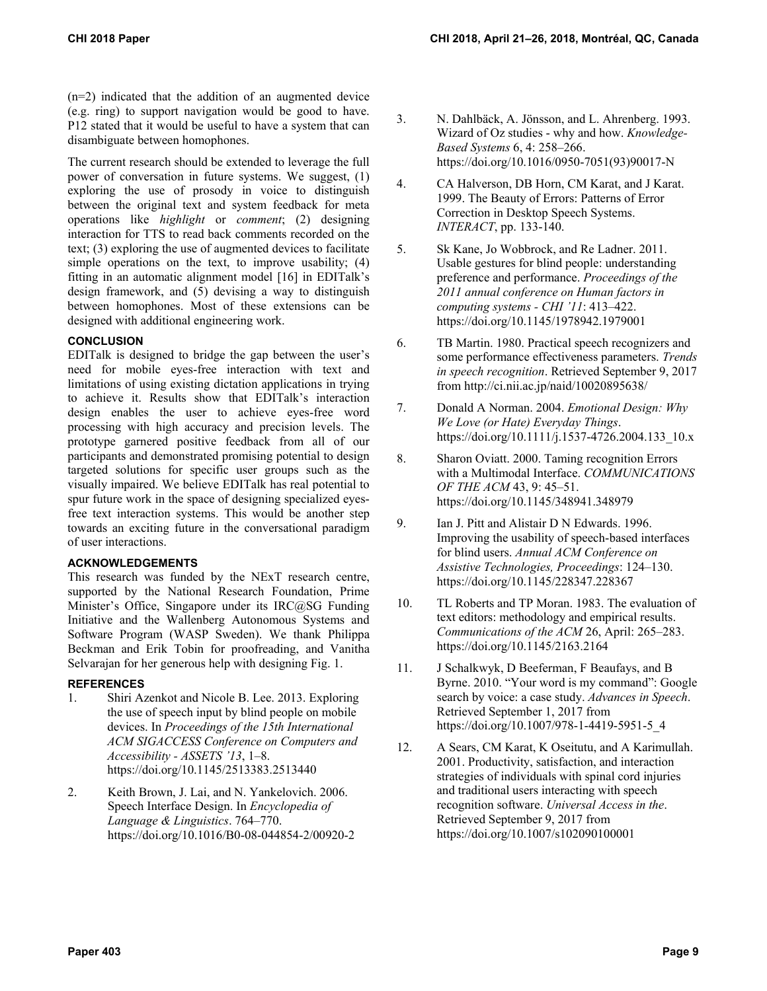(n=2) indicated that the addition of an augmented device (e.g. ring) to support navigation would be good to have. P12 stated that it would be useful to have a system that can disambiguate between homophones.

The current research should be extended to leverage the full power of conversation in future systems. We suggest, (1) exploring the use of prosody in voice to distinguish between the original text and system feedback for meta operations like *highlight* or *comment*; (2) designing interaction for TTS to read back comments recorded on the text; (3) exploring the use of augmented devices to facilitate simple operations on the text, to improve usability; (4) fitting in an automatic alignment model [16] in EDITalk's design framework, and (5) devising a way to distinguish between homophones. Most of these extensions can be designed with additional engineering work.

## **CONCLUSION**

EDITalk is designed to bridge the gap between the user's need for mobile eyes-free interaction with text and limitations of using existing dictation applications in trying to achieve it. Results show that EDITalk's interaction design enables the user to achieve eyes-free word processing with high accuracy and precision levels. The prototype garnered positive feedback from all of our participants and demonstrated promising potential to design targeted solutions for specific user groups such as the visually impaired. We believe EDITalk has real potential to spur future work in the space of designing specialized eyesfree text interaction systems. This would be another step towards an exciting future in the conversational paradigm of user interactions.

# **ACKNOWLEDGEMENTS**

This research was funded by the NExT research centre, supported by the National Research Foundation, Prime Minister's Office, Singapore under its IRC@SG Funding Initiative and the Wallenberg Autonomous Systems and Software Program (WASP Sweden). We thank Philippa Beckman and Erik Tobin for proofreading, and Vanitha Selvarajan for her generous help with designing Fig. 1.

# **REFERENCES**

- 1. Shiri Azenkot and Nicole B. Lee. 2013. Exploring the use of speech input by blind people on mobile devices. In *Proceedings of the 15th International ACM SIGACCESS Conference on Computers and Accessibility - ASSETS '13*, 1–8. https://doi.org/10.1145/2513383.2513440
- 2. Keith Brown, J. Lai, and N. Yankelovich. 2006. Speech Interface Design. In *Encyclopedia of Language & Linguistics*. 764–770. https://doi.org/10.1016/B0-08-044854-2/00920-2
- 3. N. Dahlbäck, A. Jönsson, and L. Ahrenberg. 1993. Wizard of Oz studies - why and how. *Knowledge-Based Systems* 6, 4: 258–266. https://doi.org/10.1016/0950-7051(93)90017-N
- 4. CA Halverson, DB Horn, CM Karat, and J Karat. 1999. The Beauty of Errors: Patterns of Error Correction in Desktop Speech Systems. *INTERACT*, pp. 133-140.
- 5. Sk Kane, Jo Wobbrock, and Re Ladner. 2011. Usable gestures for blind people: understanding preference and performance. *Proceedings of the 2011 annual conference on Human factors in computing systems - CHI '11*: 413–422. https://doi.org/10.1145/1978942.1979001
- 6. TB Martin. 1980. Practical speech recognizers and some performance effectiveness parameters. *Trends in speech recognition*. Retrieved September 9, 2017 from http://ci.nii.ac.jp/naid/10020895638/
- 7. Donald A Norman. 2004. *Emotional Design: Why We Love (or Hate) Everyday Things*. https://doi.org/10.1111/j.1537-4726.2004.133\_10.x
- 8. Sharon Oviatt. 2000. Taming recognition Errors with a Multimodal Interface. *COMMUNICATIONS OF THE ACM* 43, 9: 45–51. https://doi.org/10.1145/348941.348979
- 9. Ian J. Pitt and Alistair D N Edwards. 1996. Improving the usability of speech-based interfaces for blind users. *Annual ACM Conference on Assistive Technologies, Proceedings*: 124–130. https://doi.org/10.1145/228347.228367
- 10. TL Roberts and TP Moran. 1983. The evaluation of text editors: methodology and empirical results. *Communications of the ACM* 26, April: 265–283. https://doi.org/10.1145/2163.2164
- 11. J Schalkwyk, D Beeferman, F Beaufays, and B Byrne. 2010. "Your word is my command": Google search by voice: a case study. *Advances in Speech*. Retrieved September 1, 2017 from https://doi.org/10.1007/978-1-4419-5951-5\_4
- 12. A Sears, CM Karat, K Oseitutu, and A Karimullah. 2001. Productivity, satisfaction, and interaction strategies of individuals with spinal cord injuries and traditional users interacting with speech recognition software. *Universal Access in the*. Retrieved September 9, 2017 from https://doi.org/10.1007/s102090100001